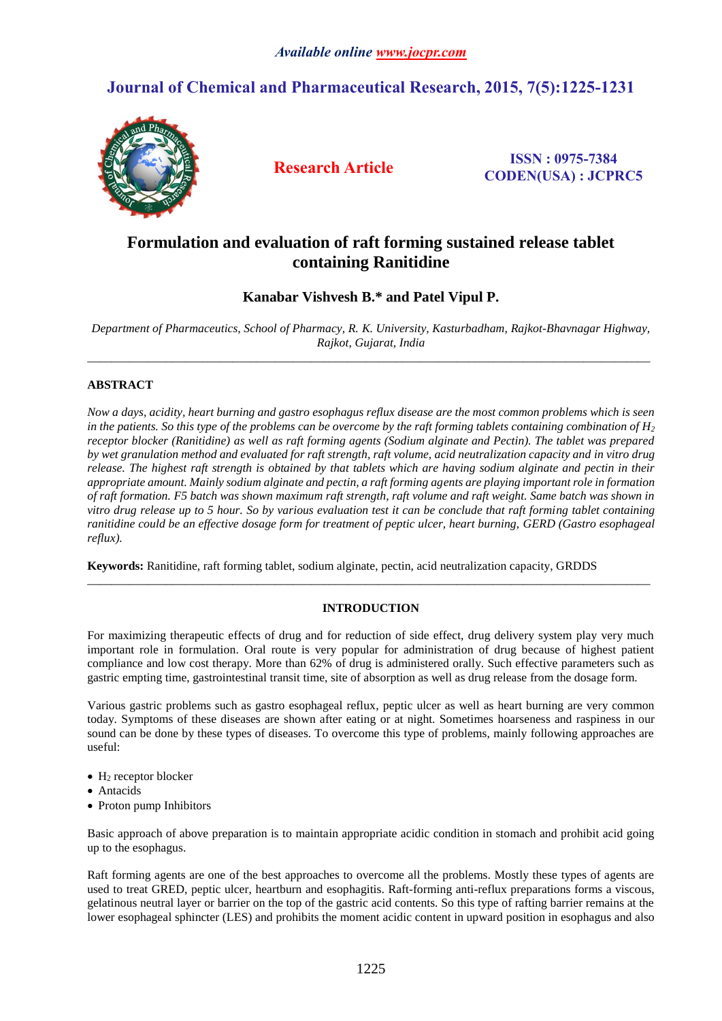# **Journal of Chemical and Pharmaceutical Research, 2015, 7(5):1225-1231**



**Research Article ISSN : 0975-7384 CODEN(USA) : JCPRC5**

# **Formulation and evaluation of raft forming sustained release tablet containing Ranitidine**

# **Kanabar Vishvesh B.\* and Patel Vipul P.**

*Department of Pharmaceutics, School of Pharmacy, R. K. University, Kasturbadham, Rajkot-Bhavnagar Highway, Rajkot, Gujarat, India* \_\_\_\_\_\_\_\_\_\_\_\_\_\_\_\_\_\_\_\_\_\_\_\_\_\_\_\_\_\_\_\_\_\_\_\_\_\_\_\_\_\_\_\_\_\_\_\_\_\_\_\_\_\_\_\_\_\_\_\_\_\_\_\_\_\_\_\_\_\_\_\_\_\_\_\_\_\_\_\_\_\_\_\_\_\_\_\_\_\_\_\_\_

# **ABSTRACT**

*Now a days, acidity, heart burning and gastro esophagus reflux disease are the most common problems which is seen*  in the patients. So this type of the problems can be overcome by the raft forming tablets containing combination of  $H_2$ *receptor blocker (Ranitidine) as well as raft forming agents (Sodium alginate and Pectin). The tablet was prepared by wet granulation method and evaluated for raft strength, raft volume, acid neutralization capacity and in vitro drug release. The highest raft strength is obtained by that tablets which are having sodium alginate and pectin in their appropriate amount. Mainly sodium alginate and pectin, a raft forming agents are playing important role in formation of raft formation. F5 batch was shown maximum raft strength, raft volume and raft weight. Same batch was shown in vitro drug release up to 5 hour. So by various evaluation test it can be conclude that raft forming tablet containing ranitidine could be an effective dosage form for treatment of peptic ulcer, heart burning, GERD (Gastro esophageal reflux).*

**Keywords:** Ranitidine, raft forming tablet, sodium alginate, pectin, acid neutralization capacity, GRDDS

# **INTRODUCTION**

\_\_\_\_\_\_\_\_\_\_\_\_\_\_\_\_\_\_\_\_\_\_\_\_\_\_\_\_\_\_\_\_\_\_\_\_\_\_\_\_\_\_\_\_\_\_\_\_\_\_\_\_\_\_\_\_\_\_\_\_\_\_\_\_\_\_\_\_\_\_\_\_\_\_\_\_\_\_\_\_\_\_\_\_\_\_\_\_\_\_\_\_\_

For maximizing therapeutic effects of drug and for reduction of side effect, drug delivery system play very much important role in formulation. Oral route is very popular for administration of drug because of highest patient compliance and low cost therapy. More than 62% of drug is administered orally. Such effective parameters such as gastric empting time, gastrointestinal transit time, site of absorption as well as drug release from the dosage form.

Various gastric problems such as gastro esophageal reflux, peptic ulcer as well as heart burning are very common today. Symptoms of these diseases are shown after eating or at night. Sometimes hoarseness and raspiness in our sound can be done by these types of diseases. To overcome this type of problems, mainly following approaches are useful:

- $\bullet$  H<sub>2</sub> receptor blocker
- Antacids
- Proton pump Inhibitors

Basic approach of above preparation is to maintain appropriate acidic condition in stomach and prohibit acid going up to the esophagus.

Raft forming agents are one of the best approaches to overcome all the problems. Mostly these types of agents are used to treat GRED, peptic ulcer, heartburn and esophagitis. Raft-forming anti-reflux preparations forms a viscous, gelatinous neutral layer or barrier on the top of the gastric acid contents. So this type of rafting barrier remains at the lower esophageal sphincter (LES) and prohibits the moment acidic content in upward position in esophagus and also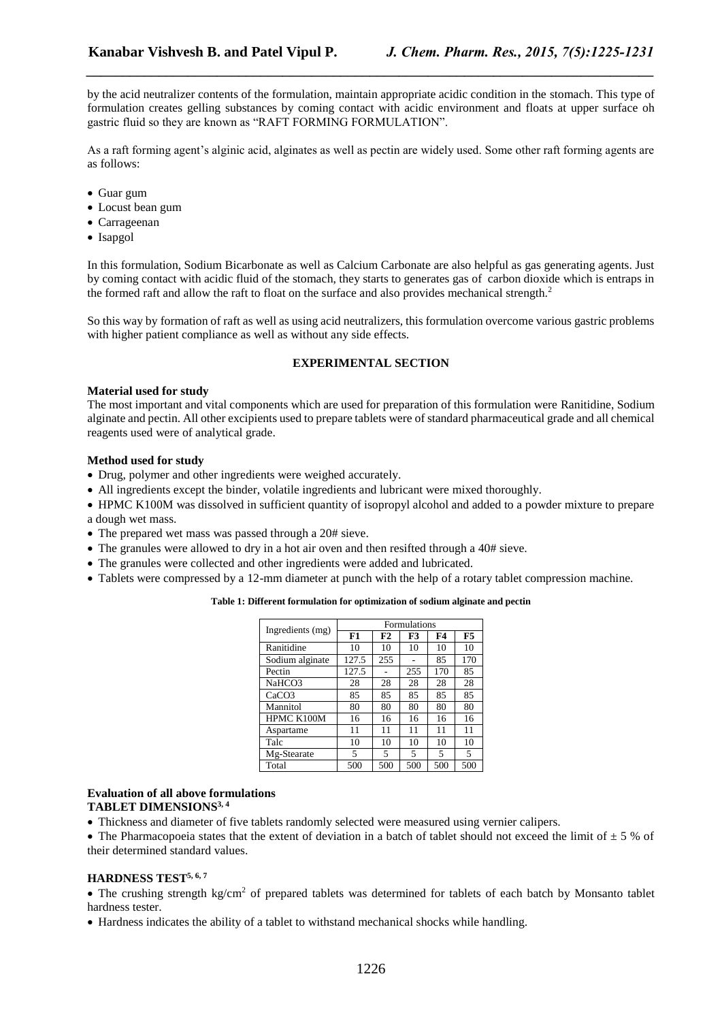by the acid neutralizer contents of the formulation, maintain appropriate acidic condition in the stomach. This type of formulation creates gelling substances by coming contact with acidic environment and floats at upper surface oh gastric fluid so they are known as "RAFT FORMING FORMULATION".

*\_\_\_\_\_\_\_\_\_\_\_\_\_\_\_\_\_\_\_\_\_\_\_\_\_\_\_\_\_\_\_\_\_\_\_\_\_\_\_\_\_\_\_\_\_\_\_\_\_\_\_\_\_\_\_\_\_\_\_\_\_\_\_\_\_\_\_\_\_\_\_\_\_\_\_\_\_\_*

As a raft forming agent's alginic acid, alginates as well as pectin are widely used. Some other raft forming agents are as follows:

- Guar gum
- Locust bean gum
- Carrageenan
- Isapgol

In this formulation, Sodium Bicarbonate as well as Calcium Carbonate are also helpful as gas generating agents. Just by coming contact with acidic fluid of the stomach, they starts to generates gas of carbon dioxide which is entraps in the formed raft and allow the raft to float on the surface and also provides mechanical strength.<sup>2</sup>

So this way by formation of raft as well as using acid neutralizers, this formulation overcome various gastric problems with higher patient compliance as well as without any side effects.

## **EXPERIMENTAL SECTION**

#### **Material used for study**

The most important and vital components which are used for preparation of this formulation were Ranitidine, Sodium alginate and pectin. All other excipients used to prepare tablets were of standard pharmaceutical grade and all chemical reagents used were of analytical grade.

## **Method used for study**

- Drug, polymer and other ingredients were weighed accurately.
- All ingredients except the binder, volatile ingredients and lubricant were mixed thoroughly.
- HPMC K100M was dissolved in sufficient quantity of isopropyl alcohol and added to a powder mixture to prepare a dough wet mass.
- The prepared wet mass was passed through a 20# sieve.
- The granules were allowed to dry in a hot air oven and then resifted through a 40# sieve.
- The granules were collected and other ingredients were added and lubricated.
- Tablets were compressed by a 12-mm diameter at punch with the help of a rotary tablet compression machine.

### **Table 1: Different formulation for optimization of sodium alginate and pectin**

| Ingredients (mg)  | <b>Formulations</b> |     |     |     |     |  |
|-------------------|---------------------|-----|-----|-----|-----|--|
|                   | F1                  | F2  | F3  | F4  | F5  |  |
| Ranitidine        | 10                  | 10  | 10  | 10  | 10  |  |
| Sodium alginate   | 127.5               | 255 |     | 85  | 170 |  |
| Pectin            | 127.5               |     | 255 | 170 | 85  |  |
| NaHCO3            | 28                  | 28  | 28  | 28  | 28  |  |
| CaCO <sub>3</sub> | 85                  | 85  | 85  | 85  | 85  |  |
| Mannitol          | 80                  | 80  | 80  | 80  | 80  |  |
| HPMC K100M        | 16                  | 16  | 16  | 16  | 16  |  |
| Aspartame         | 11                  | 11  | 11  | 11  | 11  |  |
| Talc              | 10                  | 10  | 10  | 10  | 10  |  |
| Mg-Stearate       | 5                   | 5   | 5   | 5   | 5   |  |
| Total             | 500                 | 500 | 500 | 500 | 500 |  |

#### **Evaluation of all above formulations TABLET DIMENSIONS3, 4**

Thickness and diameter of five tablets randomly selected were measured using vernier calipers.

• The Pharmacopoeia states that the extent of deviation in a batch of tablet should not exceed the limit of  $\pm$  5 % of their determined standard values.

#### **HARDNESS TEST5, 6, 7**

• The crushing strength kg/cm<sup>2</sup> of prepared tablets was determined for tablets of each batch by Monsanto tablet hardness tester.

Hardness indicates the ability of a tablet to withstand mechanical shocks while handling.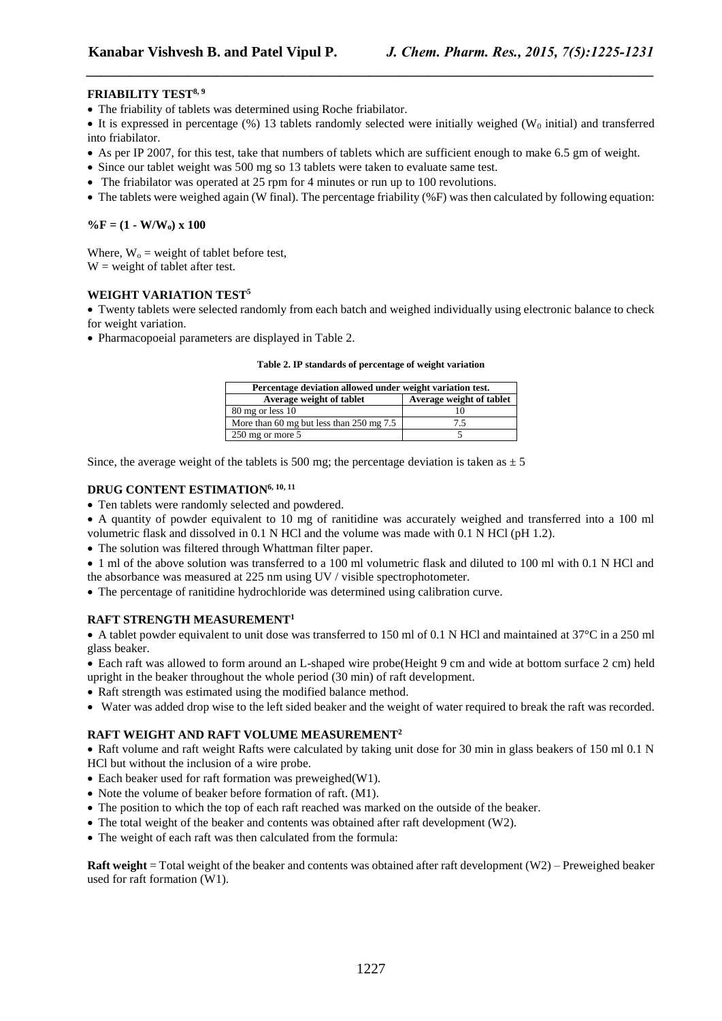## **FRIABILITY TEST8, 9**

The friability of tablets was determined using Roche friabilator.

 $\bullet$  It is expressed in percentage (%) 13 tablets randomly selected were initially weighed (W<sub>0</sub> initial) and transferred into friabilator.

*\_\_\_\_\_\_\_\_\_\_\_\_\_\_\_\_\_\_\_\_\_\_\_\_\_\_\_\_\_\_\_\_\_\_\_\_\_\_\_\_\_\_\_\_\_\_\_\_\_\_\_\_\_\_\_\_\_\_\_\_\_\_\_\_\_\_\_\_\_\_\_\_\_\_\_\_\_\_*

- As per IP 2007, for this test, take that numbers of tablets which are sufficient enough to make 6.5 gm of weight.
- Since our tablet weight was 500 mg so 13 tablets were taken to evaluate same test.
- The friabilator was operated at 25 rpm for 4 minutes or run up to 100 revolutions.
- $\bullet$  The tablets were weighed again (W final). The percentage friability (%F) was then calculated by following equation:

## $\%$ **F** = (1 - **W/W**<sub>o</sub>) x 100

Where,  $W_0$  = weight of tablet before test,  $W = weight of tablet after test.$ 

# **WEIGHT VARIATION TEST<sup>5</sup>**

 Twenty tablets were selected randomly from each batch and weighed individually using electronic balance to check for weight variation.

Pharmacopoeial parameters are displayed in Table 2.

**Table 2. IP standards of percentage of weight variation**

| Percentage deviation allowed under weight variation test. |                          |  |  |  |
|-----------------------------------------------------------|--------------------------|--|--|--|
| Average weight of tablet                                  | Average weight of tablet |  |  |  |
| 80 mg or less 10                                          |                          |  |  |  |
| More than 60 mg but less than $250 \text{ mg } 7.5$       | 7.5                      |  |  |  |
| $250$ mg or more 5                                        |                          |  |  |  |

Since, the average weight of the tablets is 500 mg; the percentage deviation is taken as  $\pm$  5

## **DRUG CONTENT ESTIMATION6, 10, 11**

- Ten tablets were randomly selected and powdered.
- A quantity of powder equivalent to 10 mg of ranitidine was accurately weighed and transferred into a 100 ml
- volumetric flask and dissolved in 0.1 N HCl and the volume was made with 0.1 N HCl (pH 1.2).
- The solution was filtered through Whattman filter paper.
- 1 ml of the above solution was transferred to a 100 ml volumetric flask and diluted to 100 ml with 0.1 N HCl and the absorbance was measured at 225 nm using UV / visible spectrophotometer.
- The percentage of ranitidine hydrochloride was determined using calibration curve.

## **RAFT STRENGTH MEASUREMENT<sup>1</sup>**

A tablet powder equivalent to unit dose was transferred to 150 ml of 0.1 N HCl and maintained at  $37^{\circ}$ C in a 250 ml glass beaker.

 Each raft was allowed to form around an L-shaped wire probe(Height 9 cm and wide at bottom surface 2 cm) held upright in the beaker throughout the whole period (30 min) of raft development.

- Raft strength was estimated using the modified balance method.
- Water was added drop wise to the left sided beaker and the weight of water required to break the raft was recorded.

## **RAFT WEIGHT AND RAFT VOLUME MEASUREMENT<sup>2</sup>**

• Raft volume and raft weight Rafts were calculated by taking unit dose for 30 min in glass beakers of 150 ml 0.1 N HCl but without the inclusion of a wire probe.

- Each beaker used for raft formation was preweighed (W1).
- Note the volume of beaker before formation of raft. (M1).
- The position to which the top of each raft reached was marked on the outside of the beaker.
- The total weight of the beaker and contents was obtained after raft development (W2).
- The weight of each raft was then calculated from the formula:

**Raft weight** = Total weight of the beaker and contents was obtained after raft development (W2) – Preweighed beaker used for raft formation (W1).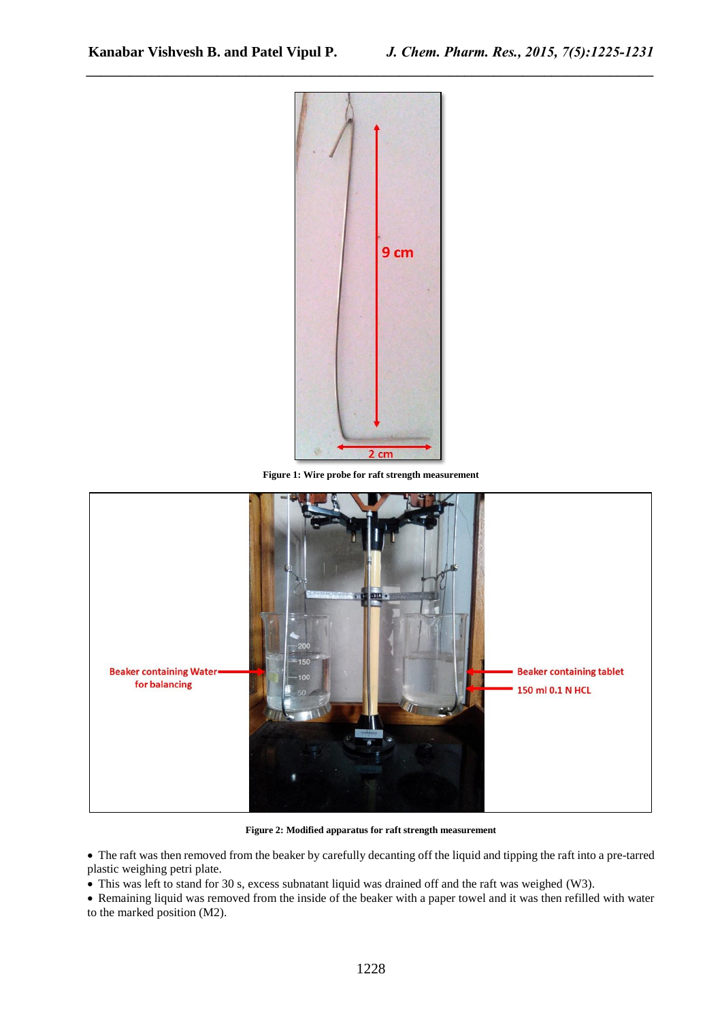

*\_\_\_\_\_\_\_\_\_\_\_\_\_\_\_\_\_\_\_\_\_\_\_\_\_\_\_\_\_\_\_\_\_\_\_\_\_\_\_\_\_\_\_\_\_\_\_\_\_\_\_\_\_\_\_\_\_\_\_\_\_\_\_\_\_\_\_\_\_\_\_\_\_\_\_\_\_\_*

**Figure 1: Wire probe for raft strength measurement**



**Figure 2: Modified apparatus for raft strength measurement**

 The raft was then removed from the beaker by carefully decanting off the liquid and tipping the raft into a pre-tarred plastic weighing petri plate.

• This was left to stand for 30 s, excess subnatant liquid was drained off and the raft was weighed (W3).

 Remaining liquid was removed from the inside of the beaker with a paper towel and it was then refilled with water to the marked position (M2).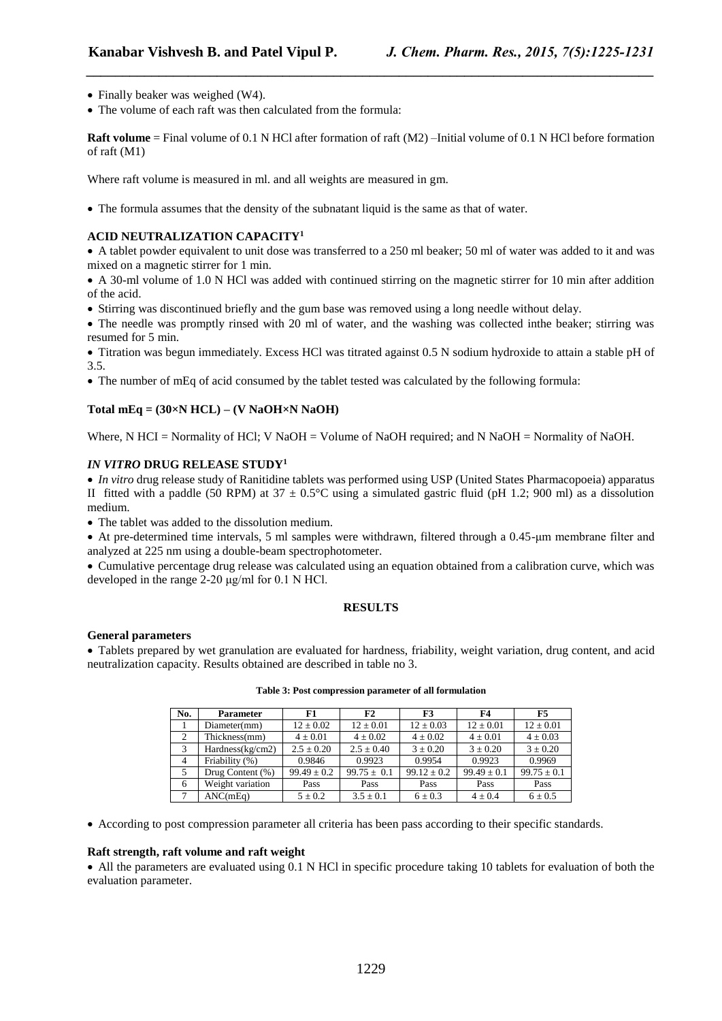- Finally beaker was weighed (W4).
- The volume of each raft was then calculated from the formula:

**Raft volume** = Final volume of 0.1 N HCl after formation of raft (M2) –Initial volume of 0.1 N HCl before formation of raft (M1)

*\_\_\_\_\_\_\_\_\_\_\_\_\_\_\_\_\_\_\_\_\_\_\_\_\_\_\_\_\_\_\_\_\_\_\_\_\_\_\_\_\_\_\_\_\_\_\_\_\_\_\_\_\_\_\_\_\_\_\_\_\_\_\_\_\_\_\_\_\_\_\_\_\_\_\_\_\_\_*

Where raft volume is measured in ml. and all weights are measured in gm.

The formula assumes that the density of the subnatant liquid is the same as that of water.

## **ACID NEUTRALIZATION CAPACITY<sup>1</sup>**

 A tablet powder equivalent to unit dose was transferred to a 250 ml beaker; 50 ml of water was added to it and was mixed on a magnetic stirrer for 1 min.

- A 30-ml volume of 1.0 N HCl was added with continued stirring on the magnetic stirrer for 10 min after addition of the acid.
- Stirring was discontinued briefly and the gum base was removed using a long needle without delay.

 The needle was promptly rinsed with 20 ml of water, and the washing was collected inthe beaker; stirring was resumed for 5 min.

 Titration was begun immediately. Excess HCl was titrated against 0.5 N sodium hydroxide to attain a stable pH of 3.5.

• The number of mEq of acid consumed by the tablet tested was calculated by the following formula:

## **Total mEq = (30×N HCL) – (V NaOH×N NaOH)**

Where, N HCI = Normality of HCl; V NaOH = Volume of NaOH required; and N NaOH = Normality of NaOH.

## *IN VITRO* **DRUG RELEASE STUDY<sup>1</sup>**

 *In vitro* drug release study of Ranitidine tablets was performed using USP (United States Pharmacopoeia) apparatus II fitted with a paddle (50 RPM) at  $37 \pm 0.5^{\circ}$ C using a simulated gastric fluid (pH 1.2; 900 ml) as a dissolution medium.

The tablet was added to the dissolution medium.

 At pre-determined time intervals, 5 ml samples were withdrawn, filtered through a 0.45-μm membrane filter and analyzed at 225 nm using a double-beam spectrophotometer.

 Cumulative percentage drug release was calculated using an equation obtained from a calibration curve, which was developed in the range 2-20 μg/ml for 0.1 N HCl.

#### **RESULTS**

#### **General parameters**

 Tablets prepared by wet granulation are evaluated for hardness, friability, weight variation, drug content, and acid neutralization capacity. Results obtained are described in table no 3.

| No.            | <b>Parameter</b>    | F1              | F2              | F3              | F4              | F5              |
|----------------|---------------------|-----------------|-----------------|-----------------|-----------------|-----------------|
|                | Diameter(mm)        | $12 \pm 0.02$   | $12 \pm 0.01$   | $12 \pm 0.03$   | $12 \pm 0.01$   | $12 \pm 0.01$   |
|                | Thickness(mm)       | $4 \pm 0.01$    | $4 \pm 0.02$    | $4 \pm 0.02$    | $4 \pm 0.01$    | $4 \pm 0.03$    |
| 3              | Hardness(kg/cm2)    | $2.5 \pm 0.20$  | $2.5 \pm 0.40$  | $3 \pm 0.20$    | $3 \pm 0.20$    | $3 \pm 0.20$    |
| $\overline{4}$ | Friability (%)      | 0.9846          | 0.9923          | 0.9954          | 0.9923          | 0.9969          |
| 5              | Drug Content $(\%)$ | $99.49 \pm 0.2$ | $99.75 \pm 0.1$ | $99.12 \pm 0.2$ | $99.49 \pm 0.1$ | $99.75 \pm 0.1$ |
| 6              | Weight variation    | Pass            | Pass            | Pass            | Pass            | Pass            |
|                | ANC(mEq)            | $5 \pm 0.2$     | $3.5 + 0.1$     | $6 \pm 0.3$     | $4 \pm 0.4$     | $6 \pm 0.5$     |

**Table 3: Post compression parameter of all formulation**

According to post compression parameter all criteria has been pass according to their specific standards.

#### **Raft strength, raft volume and raft weight**

 All the parameters are evaluated using 0.1 N HCl in specific procedure taking 10 tablets for evaluation of both the evaluation parameter.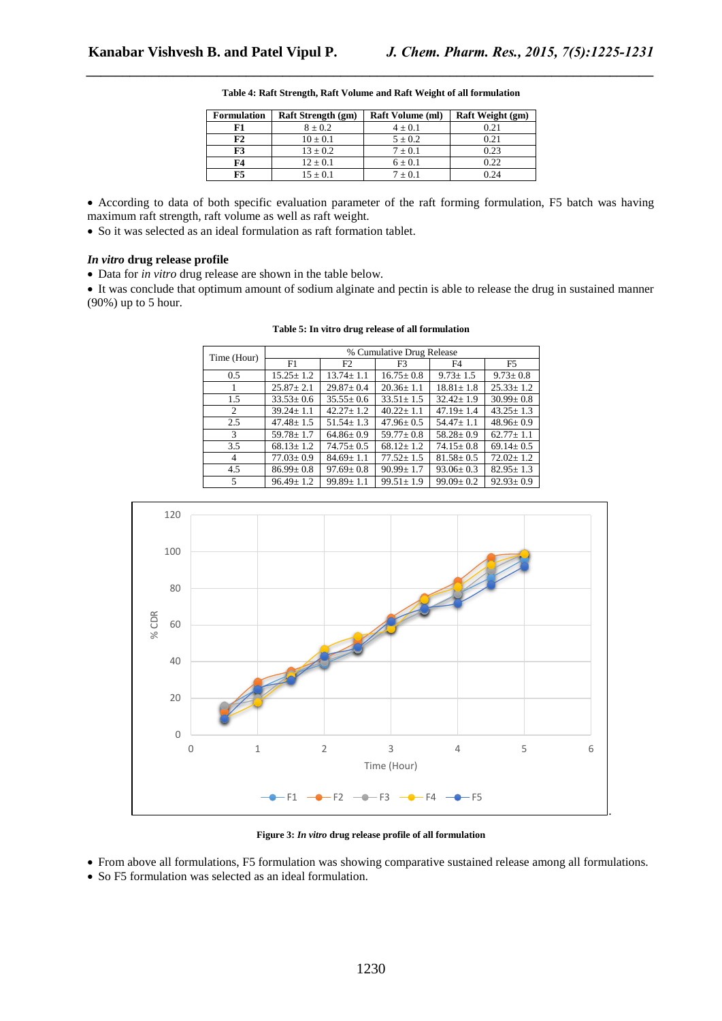| <b>Formulation</b> | <b>Raft Strength (gm)</b> | <b>Raft Volume (ml)</b> | Raft Weight (gm) |
|--------------------|---------------------------|-------------------------|------------------|
| F1                 | $8 + 0.2$                 | $4 + 0.1$               | 0.21             |
| F2                 | $10 + 0.1$                | $5 + 0.2$               | 0.21             |
| F3                 | $13 + 0.2$                | $7 + 0.1$               | 0.23             |
| F4                 | $12 + 0.1$                | $6 \pm 0.1$             | 0.22             |
| ғ5                 | $15 + 0.1$                | $7 + 0.1$               | ባ 24             |

**Table 4: Raft Strength, Raft Volume and Raft Weight of all formulation**

*\_\_\_\_\_\_\_\_\_\_\_\_\_\_\_\_\_\_\_\_\_\_\_\_\_\_\_\_\_\_\_\_\_\_\_\_\_\_\_\_\_\_\_\_\_\_\_\_\_\_\_\_\_\_\_\_\_\_\_\_\_\_\_\_\_\_\_\_\_\_\_\_\_\_\_\_\_\_*

- According to data of both specific evaluation parameter of the raft forming formulation, F5 batch was having maximum raft strength, raft volume as well as raft weight.
- So it was selected as an ideal formulation as raft formation tablet.

### *In vitro* **drug release profile**

Data for *in vitro* drug release are shown in the table below.

 It was conclude that optimum amount of sodium alginate and pectin is able to release the drug in sustained manner (90%) up to 5 hour.

| Table 5: In vitro drug release of all formulation |  |  |
|---------------------------------------------------|--|--|
|                                                   |  |  |

| Time (Hour)   | % Cumulative Drug Release |                 |                 |                 |                 |  |
|---------------|---------------------------|-----------------|-----------------|-----------------|-----------------|--|
|               | F1                        | F2              | F <sub>3</sub>  | F <sub>4</sub>  | F <sub>5</sub>  |  |
| $0.5^{\circ}$ | $15.25 \pm 1.2$           | $13.74 \pm 1.1$ | $16.75 \pm 0.8$ | $9.73 \pm 1.5$  | $9.73 \pm 0.8$  |  |
|               | $25.87 \pm 2.1$           | $29.87 \pm 0.4$ | $20.36 \pm 1.1$ | $18.81 \pm 1.8$ | $25.33 \pm 1.2$ |  |
| 1.5           | $33.53 \pm 0.6$           | $35.55 \pm 0.6$ | $33.51 \pm 1.5$ | $32.42 \pm 1.9$ | $30.99 \pm 0.8$ |  |
| 2             | $39.24 \pm 1.1$           | $42.27 \pm 1.2$ | $40.22 \pm 1.1$ | $47.19 \pm 1.4$ | $43.25 \pm 1.3$ |  |
| 2.5           | $47.48 + 1.5$             | $51.54 + 1.3$   | $47.96 \pm 0.5$ | $54.47 \pm 1.1$ | $48.96 \pm 0.9$ |  |
| 3             | $59.78 \pm 1.7$           | $64.86 \pm 0.9$ | $59.77 + 0.8$   | $58.28 \pm 0.9$ | $62.77 \pm 1.1$ |  |
| 3.5           | $68.13 \pm 1.2$           | $74.75 \pm 0.5$ | $68.12 \pm 1.2$ | $74.15 \pm 0.8$ | $69.14 \pm 0.5$ |  |
| 4             | $77.03 \pm 0.9$           | $84.69 \pm 1.1$ | $77.52 \pm 1.5$ | $81.58 \pm 0.5$ | $72.02 \pm 1.2$ |  |
| 4.5           | $86.99 \pm 0.8$           | $97.69 \pm 0.8$ | $90.99 \pm 1.7$ | $93.06 \pm 0.3$ | $82.95 \pm 1.3$ |  |
| 5             | $96.49 \pm 1.2$           | $99.89 \pm 1.1$ | $99.51 \pm 1.9$ | $99.09 \pm 0.2$ | $92.93 \pm 0.9$ |  |



**Figure 3:** *In vitro* **drug release profile of all formulation**

- From above all formulations, F5 formulation was showing comparative sustained release among all formulations.
- So F5 formulation was selected as an ideal formulation.